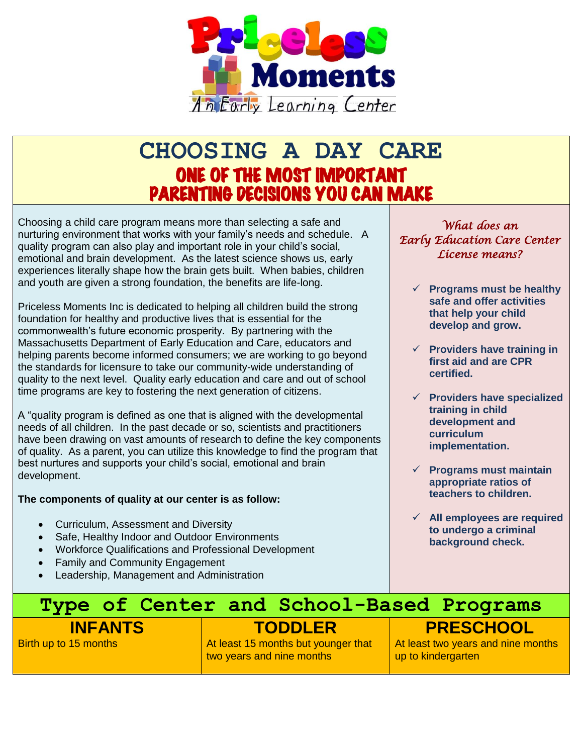

# **CHOOSING A DAY CARE** ONE OF THE MOST IMPORTANT PARENTING DECISIONS YOU CAN MAKE

Choosing a child care program means more than selecting a safe and nurturing environment that works with your family's needs and schedule. A quality program can also play and important role in your child's social, emotional and brain development. As the latest science shows us, early experiences literally shape how the brain gets built. When babies, children and youth are given a strong foundation, the benefits are life-long.

Priceless Moments Inc is dedicated to helping all children build the strong foundation for healthy and productive lives that is essential for the commonwealth's future economic prosperity. By partnering with the Massachusetts Department of Early Education and Care, educators and helping parents become informed consumers; we are working to go beyond the standards for licensure to take our community-wide understanding of quality to the next level. Quality early education and care and out of school time programs are key to fostering the next generation of citizens.

A "quality program is defined as one that is aligned with the developmental needs of all children. In the past decade or so, scientists and practitioners have been drawing on vast amounts of research to define the key components of quality. As a parent, you can utilize this knowledge to find the program that best nurtures and supports your child's social, emotional and brain development.

# **The components of quality at our center is as follow:**

- Curriculum, Assessment and Diversity
- Safe, Healthy Indoor and Outdoor Environments
- Workforce Qualifications and Professional Development
- Family and Community Engagement
- Leadership, Management and Administration

# *What does an Early Education Care Center License means?*

- **Programs must be healthy safe and offer activities that help your child develop and grow.**
- **Providers have training in first aid and are CPR certified.**
- **Providers have specialized training in child development and curriculum implementation.**
- **Programs must maintain appropriate ratios of teachers to children.**
- **All employees are required to undergo a criminal background check.**

# **Type of Center and School-Based Programs** **PRESCHOOL**

# **INFANTS**

Birth up to 15 months

# **TODDLER**

At least 15 months but younger that two years and nine months

At least two years and nine months up to kindergarten